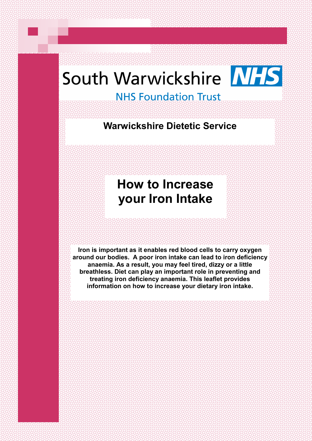# South Warwickshire NHS

# **NHS Foundation Trust**

**Warwickshire Dietetic Service**

# **How to Increase your Iron Intake**

**Iron is important as it enables red blood cells to carry oxygen around our bodies. A poor iron intake can lead to iron deficiency anaemia. As a result, you may feel tired, dizzy or a little breathless. Diet can play an important role in preventing and treating iron deficiency anaemia. This leaflet provides information on how to increase your dietary iron intake.**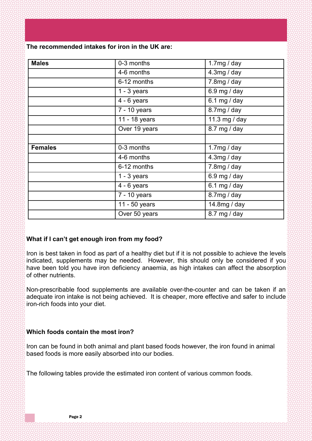**The recommended intakes for iron in the UK are:**

| <b>Males</b>   | 0-3 months    | 1.7mg / day   |  |
|----------------|---------------|---------------|--|
|                | 4-6 months    | 4.3mg / day   |  |
|                | 6-12 months   | 7.8mg / day   |  |
|                | $1 - 3$ years | 6.9 mg / day  |  |
|                | $4 - 6$ years | 6.1 mg / day  |  |
|                | 7 - 10 years  | 8.7mg / day   |  |
|                | 11 - 18 years | 11.3 mg / day |  |
|                | Over 19 years | 8.7 mg / day  |  |
|                |               |               |  |
| <b>Females</b> | 0-3 months    | 1.7 $mg/day$  |  |
|                | 4-6 months    | 4.3mg / day   |  |
|                | 6-12 months   | 7.8mg / day   |  |
|                | $1 - 3$ years | 6.9 mg / day  |  |
|                | $4 - 6$ years | 6.1 mg / day  |  |
|                | 7 - 10 years  | 8.7mg/day     |  |
|                | 11 - 50 years | 14.8mg / day  |  |
|                | Over 50 years | 8.7 mg / day  |  |

# **What if I can't get enough iron from my food?**

Iron is best taken in food as part of a healthy diet but if it is not possible to achieve the levels indicated, supplements may be needed. However, this should only be considered if you have been told you have iron deficiency anaemia, as high intakes can affect the absorption of other nutrients.

Non-prescribable food supplements are available over-the-counter and can be taken if an adequate iron intake is not being achieved. It is cheaper, more effective and safer to include iron-rich foods into your diet.

# **Which foods contain the most iron?**

Iron can be found in both animal and plant based foods however, the iron found in animal based foods is more easily absorbed into our bodies.

The following tables provide the estimated iron content of various common foods.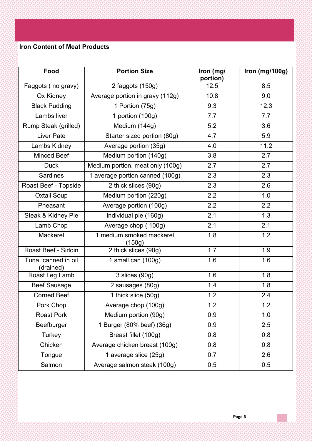# **Iron Content of Meat Products**

| Food                             | <b>Portion Size</b>                | Iron (mg/<br>portion) | Iron (mg/100g) |
|----------------------------------|------------------------------------|-----------------------|----------------|
| Faggots (no gravy)               | 2 faggots (150g)                   | 12.5                  | 8.5            |
| Ox Kidney                        | Average portion in gravy (112g)    | 10.8                  | 9.0            |
| <b>Black Pudding</b>             | 1 Portion (75g)                    | 9.3                   | 12.3           |
| Lambs liver                      | 1 portion (100g)                   | 7.7                   | 7.7            |
| Rump Steak (grilled)             | Medium (144g)                      | 5.2                   | 3.6            |
| <b>Liver Pate</b>                | Starter sized portion (80g)        | 4.7                   | 5.9            |
| Lambs Kidney                     | Average portion (35g)              | 4.0                   | 11.2           |
| <b>Minced Beef</b>               | Medium portion (140g)              | 3.8                   | 2.7            |
| <b>Duck</b>                      | Medium portion, meat only (100g)   | 2.7                   | 2.7            |
| <b>Sardines</b>                  | 1 average portion canned (100g)    | 2.3                   | 2.3            |
| Roast Beef - Topside             | 2 thick slices (90g)               | 2.3                   | 2.6            |
| <b>Oxtail Soup</b>               | Medium portion (220g)              | 2.2                   | 1.0            |
| Pheasant                         | Average portion (100g)             | 2.2                   | 2.2            |
| Steak & Kidney Pie               | Individual pie (160g)              | 2.1                   | 1.3            |
| Lamb Chop                        | Average chop (100g)                | 2.1                   | 2.1            |
| Mackerel                         | 1 medium smoked mackerel<br>(150g) | 1.8                   | 1.2            |
| Roast Beef - Sirloin             | 2 thick slices (90g)               | 1.7                   | 1.9            |
| Tuna, canned in oil<br>(drained) | 1 small can $(100g)$               | 1.6                   | 1.6            |
| Roast Leg Lamb                   | 3 slices (90g)                     | 1.6                   | 1.8            |
| <b>Beef Sausage</b>              | 2 sausages (80g)                   | 1.4                   | 1.8            |
| <b>Corned Beef</b>               | 1 thick slice (50g)                | 1.2                   | 2.4            |
| Pork Chop                        | Average chop (100g)                | 1.2                   | 1.2            |
| <b>Roast Pork</b>                | Medium portion (90g)               | 0.9                   | 1.0            |
| Beefburger                       | 1 Burger (80% beef) (36g)          | 0.9                   | 2.5            |
| Turkey                           | Breast fillet (100g)               | 0.8                   | 0.8            |
| Chicken                          | Average chicken breast (100g)      | 0.8                   | 0.8            |
| Tongue                           | 1 average slice (25g)              | 0.7                   | 2.6            |
| Salmon                           | Average salmon steak (100g)        | 0.5                   | 0.5            |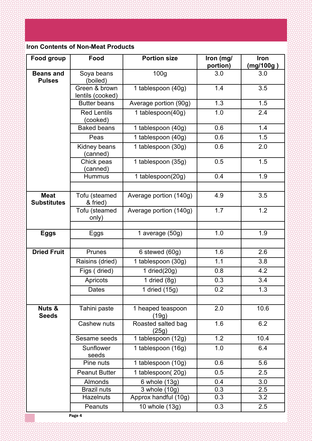# **Iron Contents of Non-Meat Products**

| Food group                        | Food                              | <b>Portion size</b>         | Iron (mg/<br>portion) | <b>Iron</b><br>(mg/100g) |
|-----------------------------------|-----------------------------------|-----------------------------|-----------------------|--------------------------|
| <b>Beans and</b><br><b>Pulses</b> | Soya beans<br>(boiled)            | 100 <sub>g</sub>            | 3.0                   | 3.0                      |
|                                   | Green & brown<br>lentils (cooked) | 1 tablespoon (40g)          | 1.4                   | 3.5                      |
|                                   | <b>Butter beans</b>               | Average portion (90g)       | 1.3                   | 1.5                      |
|                                   | <b>Red Lentils</b><br>(cooked)    | 1 tablespoon(40g)           | 1.0                   | 2.4                      |
|                                   | <b>Baked beans</b>                | 1 tablespoon (40g)          | 0.6                   | 1.4                      |
|                                   | Peas                              | 1 tablespoon (40g)          | 0.6                   | 1.5                      |
|                                   | Kidney beans<br>(canned)          | 1 tablespoon (30g)          | 0.6                   | 2.0                      |
|                                   | Chick peas<br>(canned)            | 1 tablespoon (35g)          | 0.5                   | 1.5                      |
|                                   | <b>Hummus</b>                     | 1 tablespoon(20g)           | 0.4                   | 1.9                      |
| <b>Meat</b><br><b>Substitutes</b> | Tofu (steamed<br>& fried)         | Average portion (140g)      | 4.9                   | 3.5                      |
|                                   | Tofu (steamed<br>only)            | Average portion (140g)      | 1.7                   | 1.2                      |
|                                   |                                   | 1 average (50g)             | 1.0                   | 1.9                      |
| <b>Eggs</b>                       | Eggs                              |                             |                       |                          |
| <b>Dried Fruit</b>                | Prunes                            | 6 stewed (60g)              | 1.6                   | 2.6                      |
|                                   | Raisins (dried)                   | 1 tablespoon (30g)          | 1.1                   | 3.8                      |
|                                   | Figs (dried)                      | 1 dried $(20g)$             | 0.8                   | 4.2                      |
|                                   | Apricots                          | 1 dried $(8g)$              | 0.3                   | 3.4                      |
|                                   | <b>Dates</b>                      | 1 dried $(15g)$             | 0.2                   | 1.3                      |
|                                   |                                   |                             |                       |                          |
| Nuts &<br><b>Seeds</b>            | Tahini paste                      | 1 heaped teaspoon<br>(19g)  | 2.0                   | 10.6                     |
|                                   | Cashew nuts                       | Roasted salted bag<br>(25g) | 1.6                   | 6.2                      |
|                                   | Sesame seeds                      | 1 tablespoon (12g)          | 1.2                   | 10.4                     |
|                                   | Sunflower<br>seeds                | 1 tablespoon (16g)          | 1.0                   | 6.4                      |
|                                   | Pine nuts                         | 1 tablespoon (10g)          | 0.6                   | 5.6                      |
|                                   | <b>Peanut Butter</b>              | 1 tablespoon(20g)           | 0.5                   | 2.5                      |
|                                   | <b>Almonds</b>                    | 6 whole (13g)               | 0.4                   | 3.0                      |
|                                   | <b>Brazil nuts</b>                | 3 whole (10g)               | 0.3                   | 2.5                      |
|                                   | Hazelnuts                         | Approx handful (10g)        | 0.3                   | 3.2                      |
|                                   | Peanuts                           | 10 whole (13g)              | 0.3                   | 2.5                      |

Page 4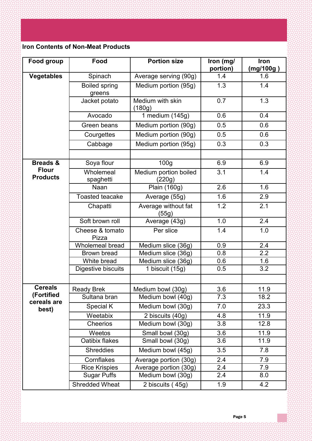# **Iron Contents of Non-Meat Products**

| Food group                      | Food                           | <b>Portion size</b>             | Iron (mg/<br>portion) | Iron<br>(mg/100g ) |
|---------------------------------|--------------------------------|---------------------------------|-----------------------|--------------------|
| <b>Vegetables</b>               | Spinach                        | Average serving (90g)           | 1.4                   | 1.6                |
|                                 | <b>Boiled spring</b><br>greens | Medium portion (95g)            | 1.3                   | 1.4                |
|                                 | Jacket potato                  | Medium with skin<br>(180g)      | 0.7                   | 1.3                |
|                                 | Avocado                        | 1 medium $(145g)$               | 0.6                   | 0.4                |
|                                 | Green beans                    | Medium portion (90g)            | 0.5                   | 0.6                |
|                                 | Courgettes                     | Medium portion (90g)            | 0.5                   | 0.6                |
|                                 | Cabbage                        | Medium portion (95g)            | 0.3                   | 0.3                |
| <b>Breads &amp;</b>             | Soya flour                     | 100 <sub>g</sub>                | 6.9                   | 6.9                |
| <b>Flour</b><br><b>Products</b> | Wholemeal<br>spaghetti         | Medium portion boiled<br>(220g) | 3.1                   | 1.4                |
|                                 | Naan                           | Plain (160g)                    | 2.6                   | 1.6                |
|                                 | <b>Toasted teacake</b>         | Average (55g)                   | 1.6                   | 2.9                |
|                                 | Chapatti                       | Average without fat<br>(55g)    | 1.2                   | 2.1                |
|                                 | Soft brown roll                | Average (43g)                   | 1.0                   | 2.4                |
|                                 | Cheese & tomato<br>Pizza       | Per slice                       | 1.4                   | 1.0                |
|                                 | Wholemeal bread                | Medium slice (36g)              | 0.9                   | 2.4                |
|                                 | Brown bread                    | Medium slice (36g)              | 0.8                   | 2.2                |
|                                 | White bread                    | Medium slice (36g)              | 0.6                   | 1.6                |
|                                 | Digestive biscuits             | 1 biscuit (15g)                 | 0.5                   | 3.2                |
| <b>Cereals</b>                  | <b>Ready Brek</b>              | Medium bowl (30g)               | 3.6                   | 11.9               |
| (Fortified<br>cereals are       | Sultana bran                   | Medium bowl (40g)               | 7.3                   | 18.2               |
| best)                           | Special K                      | Medium bowl (30g)               | 7.0                   | 23.3               |
|                                 | Weetabix                       | 2 biscuits (40g)                | 4.8                   | 11.9               |
|                                 | Cheerios                       | Medium bowl (30g)               | 3.8                   | 12.8               |
|                                 | Weetos                         | Small bowl (30g)                | 3.6                   | 11.9               |
|                                 | Oatibix flakes                 | Small bowl (30g)                | 3.6                   | 11.9               |
|                                 | <b>Shreddies</b>               | Medium bowl (45g)               | 3.5                   | 7.8                |
|                                 | Cornflakes                     | Average portion (30g)           | 2.4                   | 7.9                |
|                                 | <b>Rice Krispies</b>           | Average portion (30g)           | 2.4                   | 7.9                |
|                                 | <b>Sugar Puffs</b>             | Medium bowl (30g)               | 2.4                   | 8.0                |
|                                 | <b>Shredded Wheat</b>          | 2 biscuits (45g)                | 1.9                   | 4.2                |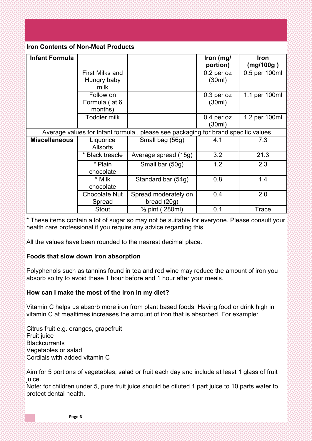# **Iron Contents of Non-Meat Products**

| <b>Infant Formula</b>                                                             |                                       |                                       | Iron (mg/<br>portion)  | <b>Iron</b><br>(mg/100g) |
|-----------------------------------------------------------------------------------|---------------------------------------|---------------------------------------|------------------------|--------------------------|
|                                                                                   | First Milks and                       |                                       | $0.2$ per oz<br>(30ml) | 0.5 per 100ml            |
|                                                                                   | Hungry baby<br>milk                   |                                       |                        |                          |
|                                                                                   | Follow on<br>Formula (at 6<br>months) |                                       | $0.3$ per oz<br>(30ml) | 1.1 per 100ml            |
|                                                                                   | <b>Toddler milk</b>                   |                                       | $0.4$ per oz<br>(30ml) | 1.2 per 100ml            |
| Average values for Infant formula, please see packaging for brand specific values |                                       |                                       |                        |                          |
| <b>Miscellaneous</b>                                                              | Liquorice<br><b>Allsorts</b>          | Small bag (56g)                       | 4.1                    | 7.3                      |
|                                                                                   | * Black treacle                       | Average spread (15g)                  | 3.2                    | 21.3                     |
|                                                                                   | * Plain<br>chocolate                  | Small bar (50g)                       | 1.2                    | 2.3                      |
|                                                                                   | * Milk<br>chocolate                   | Standard bar (54g)                    | 0.8                    | 1.4                      |
|                                                                                   | <b>Chocolate Nut</b><br>Spread        | Spread moderately on<br>bread $(20g)$ | 0.4                    | 2.0                      |
|                                                                                   | <b>Stout</b>                          | $\frac{1}{2}$ pint (280ml)            | 0.1                    | <b>Trace</b>             |

\* These items contain a lot of sugar so may not be suitable for everyone. Please consult your health care professional if you require any advice regarding this.

All the values have been rounded to the nearest decimal place.

# **Foods that slow down iron absorption**

Polyphenols such as tannins found in tea and red wine may reduce the amount of iron you absorb so try to avoid these 1 hour before and 1 hour after your meals.

# **How can I make the most of the iron in my diet?**

Vitamin C helps us absorb more iron from plant based foods. Having food or drink high in vitamin C at mealtimes increases the amount of iron that is absorbed. For example:

Citrus fruit e.g. oranges, grapefruit Fruit juice **Blackcurrants** Vegetables or salad Cordials with added vitamin C

Aim for 5 portions of vegetables, salad or fruit each day and include at least 1 glass of fruit juice.

Note: for children under 5, pure fruit juice should be diluted 1 part juice to 10 parts water to protect dental health.